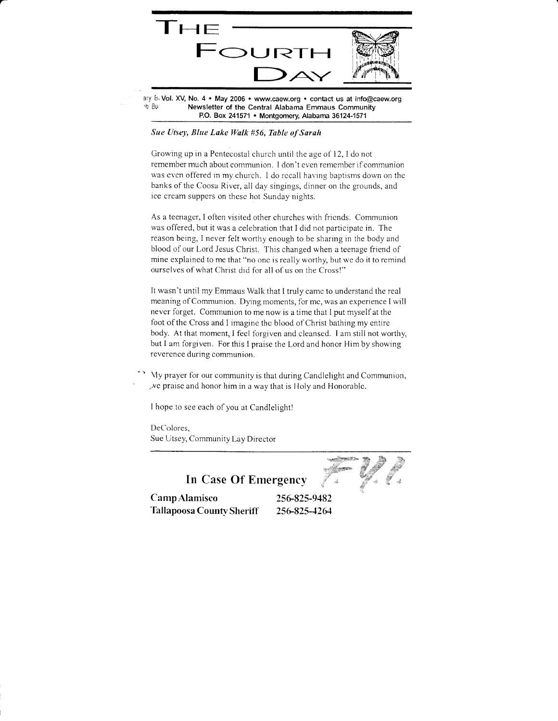

ary B<sub>1</sub> Vol. XV, No. 4  $\bullet$  May 2006  $\bullet$  www.caew.org  $\bullet$  contact us at info@caew.org  $\bullet$  B<sub>V</sub> Newsletter of the Central Alabama Emmaus Community P.O. Box 241571 • Montgomery, Alabama 36124-1571

#### Sue Utsey, Blue Lake Walk #56, Table of Sarah

Growing up in a Pentecostal church until the age of 12, I do not remember much about communion. I don't even remember if communion was even offered in my church. I do recall having baptisms down on the banks of the Coosa River, all day singings, dinner on the grounds, and ice cream suppers on these hot Sunday nights.

As a teenager, I often visited other churches with friends. Communion was offered, but it was a celebration that I did not participate in. The reason being, I never felt worthy enough to be sharing in the body and blood of our Lord Jesus Christ. This changed when a teenage friend of mine explained to me that "no one is really worthy, but we do it to remind ourselves of what Christ did for all of us on the Cross!"

It wasn't until my Emmaus Walk that I truly camc to understand the real meaning of Communion. Dying moments, for me, was an experience I will never forget. Communion to me now is a time that I put myself at the foot of the Cross and I imagine the blood of Christ bathing my entire body. At that moment, I fecl forgiven and cleansed. I am still not worthy, but I am forgiven. For this I praise the Lord and honor Him by showing reverence during communion.

Vy prayer for our community is that during Candlelight and Communion,  $x$ e praise and honor him in a way that is Holy and Honorable.

I hope to see each of you at Candlelight!

DeColores, Sue Utsey, Community Lay Director

 $\rightarrow$  .  $\mathbb{R}$  .  $\mathcal{R}^{\text{max}}$  $\mathscr{Y}$  , ) 'tt

In Case Of Emergency<br>Camp Alamisco<br>256-825-9482 Tallapoosa County Sheriff 256-825-4264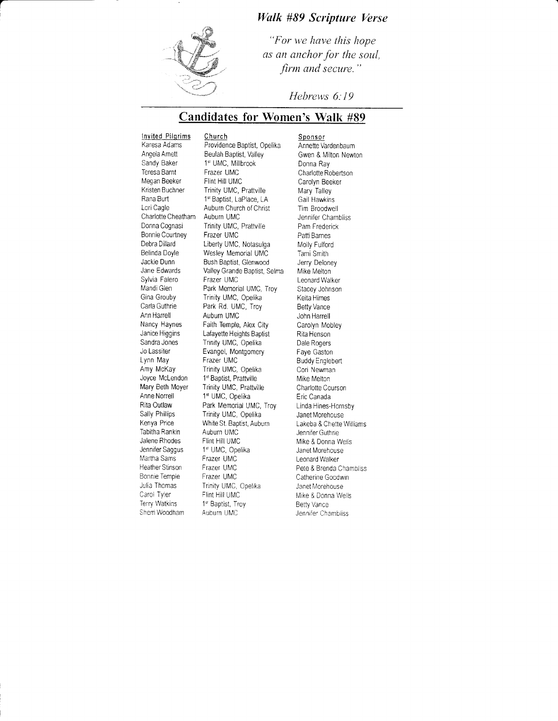### Wulk #89 Scripture Verse



"For we have this hope as an anchor for the soul, firm and secure."

Hebrews 6:19

## Candidates for Women's Walk #89

**Invited Pilgrims** Church<br>Karesa Adams Providen Sandy Baker 1<sup>st</sup> UMC, Millbrook<br>Teresa Barnt Frazer UMC Teresa Barnt Frazer UMC<br>Megan Beeker Flint Hill UMC Megan Beeker Flint Hill UMC<br>Kristen Buchner Frinity UMC, I Charlotte Cheatham<br>Donna Cognasi Bonnie Courtney<br>Debra Dillard Sylvia Falero<br>Mandi Glen Ann Harrell Auburn UMC<br>Nancy Haynes Faith Temple Lynn May<br>
Amy McKay Frazer UMC Anne Norrell 1<sup>st</sup> UMC, Opelika<br>Rita Outlaw Park Memorial UI Tabitha Rankin<br>Jalene Rhodes Jalene Rhodes Flint Hill UMC<br>Jennifer Saggus 1st UMC, Ope Jennifer Saggus 1st UMC, Opelika<br>Martha Sams Frazer UMC Heather Stinson Frazer UMC<br>Bonnie Temple Frazer UMC Bonnie Temple<br>Julia Thomas Carol Tyler Flint Hill UMC<br>Terry Watkins 1st Bantist Tre Sherri Woodham

**Karesa Adams** Providence Baptist, Opelika<br>
Angela Amett Beulah Baptist, Valley Angela Amett Beulah Baptist, Valley<br>Sandy Baker 1st UMC, Millbrook Kristen Buchner Trinity UMC, Prattville<br>Rana Burt 1<sup>st</sup> Baptist, LaPlace, LA Rana Burt 1<sup>st</sup> Baptist, LaPlace, LA<br>
Lori Cagle 2012 Auburn Church of Christ Auburn Church of Christ<br>Auburn UMC Trinity UMC, Prattville<br>Frazer UMC Debra Dillard Liberty UMC, Notasulga<br>Belinda Dovle Veslev Memorial UMC Belinda Doyle Wesley Memorial UMC<br>Jackie Dunn Bush Baptist, Glenwood Jackie Dunn Bush Baptist, Glenwood<br>Jane Edwards Valley Grande Baptist, S Valley Grande Baptist, Selma<br>Frazer UMC Mandi Glen Park Memorial UMC, Troy<br>Gina Grouby Frinity UMC, Opelika Gina Grouby Trinity UMC, Opelika<br>Carla Guthrie Park Rd. UMC, Trov Carla Guthrie Park Rd. UMC, Troy<br>Ann Harrell Auburn UMC Nancy Haynes Faith Temple, Alex City<br>Janice Higgins Lafayette Heights Baptist Janice Higgins Lafayette Heights Baptist<br>Sandra Jones Trinity UMC, Opelika Sandra Jones Trinity UMC, Opelika<br>Jo Lassiter Evangel, Montgomer Jo Lassiter Evangel, Montgomery<br>Lynn May Frazer UMC Amy McKay Trinity UMC, Opelika<br>Joyce McLendon 1<sup>st</sup> Baptist, Prattville Joyce McLendon 1<sup>st</sup> Baptist, Prattville<br>Mary Beth Moyer Trinity UMC, Prattvi Mary Beth Moyer Trinity UMC, Prattville<br>Anne Norrell 1<sup>st</sup> UMC, Opelika Rita Outlaw Park Memorial UMC, Troy<br>
Sally Phillips Frinity UMC, Opelika Sally Phillips Trinity UMC, Opelika<br>Kenya Price White St. Baptist, Aubi White St. Baptist, Auburn<br>Auburn UMC Frazer UMC<br>Frazer UMC Julia Thomas Trinity UMC, Opelika<br>Carol Tyler Flint Hill UMC 1st Baptist, Troy<br>Auburn UMC

Sponsor Annette Vardenbaum Gwen & Milton Newton Donna Ray Charlotte Robertson Carolyn Beeker Mary Talley Gail Hawkins Tim Broodwell Jennifer Chambliss Pam Frederick Patti Barnes Molly Fulford Tami Smith Jerry Deloney Mike Melton Leonard Walker Stacey Johnson Keita Himes Betty Vance John Harrell Carolyn Mobley Rita Henson Dale Rogers Faye Gaston Buddy Englebert Cori Newman Mike Melton Charlotte Courson Eric Canada Linda Hines-Hornsby Janet Morehouse Lakeba &Chette Williams Jennifer Guthrie Mike & Donna Weils Janet Morehouse Leonard Walker Pete & Brenda Chambliss Catherine Goodwin Janet Morehouse Mike & Donna Wells Betty Vance Jennifer Chambliss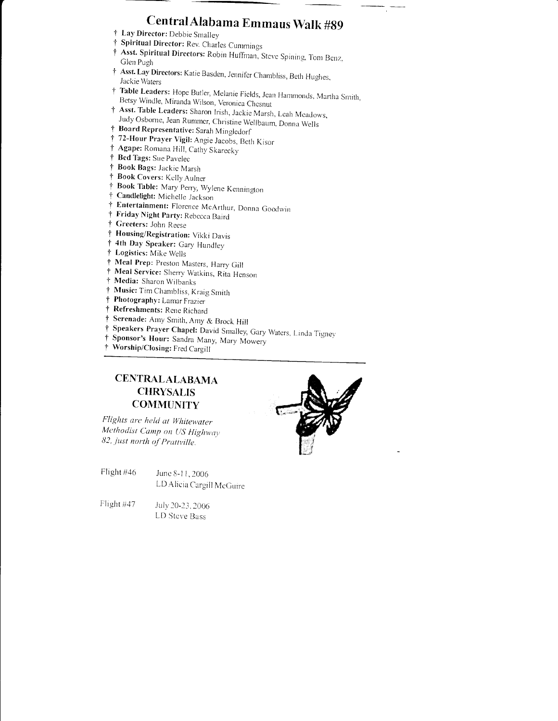# Central Alabama Emmaus Walk #89

- † Lay Director: Debbie Smalley
- † Spiritual Director: Rev. Charles Cummings
- † Asst. Spiritual Directors: Robin Huffman, Steve Spining, Tom Benz, Glen Pugh
- † Asst. Lay Directors: Katie Basden, Jennifer Chambliss, Beth Hughes, Jackie Waters
- † Table Leaders: Hope Butler, Melanie Fields, Jean Hammonds, Martha Smith, Betsy Windle, Miranda Wilson, Veronica Chesnut
- † Asst. Table Leaders: Sharon Irish, Jackie Marsh, Leah Meadows, Judy Osborne, Jean Rummer, Christine Wellbaum, Donna Wells
- † Board Representative: Sarah Mingledorf
- † 72-Hour Prayer Vigil: Angie Jacobs, Beth Kisor
- † Agape: Romana Hill, Cathy Skarecky
- † Bed Tags: Sue Pavelec
- † Book Bags: Jackie Marsh
- † Book Covers: Kelly Aulner
- † Book Table: Mary Perry, Wylene Kennington
- † Candlelight: Michelle Jackson
- † Entertainment: Florence McArthur, Donna Goodwin
- † Friday Night Party: Rebecca Baird
- † Greeters: John Reese
- † Housing/Registration: Vikki Davis
- † 4th Day Speaker: Gary Hundley
- † Logistics: Mike Wells
- † Meal Prep: Preston Masters, Harry Gill
- † Meal Service: Sherry Watkins, Rita Henson
- † Media: Sharon Wilbanks
- † Music: Tim Chambliss, Kraig Smith
- † Photography: Lamar Frazier
- † Refreshments: Rene Richard
- Serenade: Amy Smith, Amy & Brock Hill ÷
- † Speakers Prayer Chapel: David Smalley, Gary Waters, Linda Tigney
- Sponsor's Hour: Sandra Many, Mary Mowery  $\ddot{\tau}$
- † Worship/Closing: Fred Cargill

## **CENTRALALABAMA CHRYSALIS COMMUNITY**

Flights are held at Whitewater Methodist Camp on US Highway 82, just north of Prattville.

- Flight #46 June 8-11, 2006 LD Alicia Cargill McGuire
- Flight #47 July 20-23, 2006 LD Steve Bass

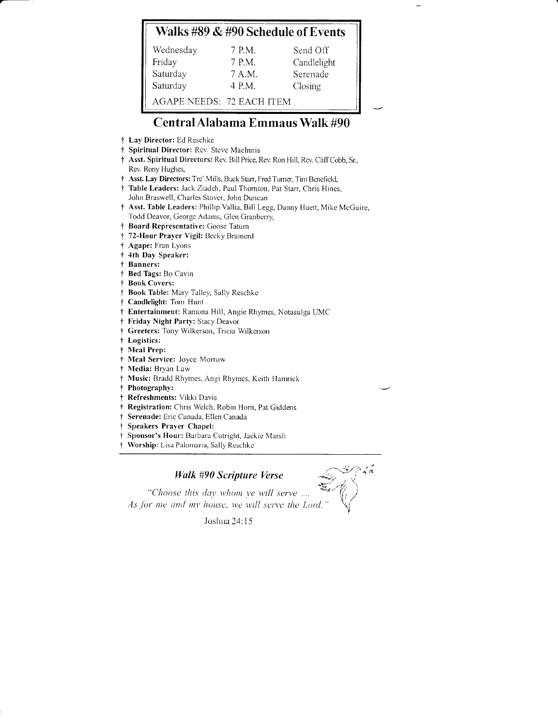## Walks #89 & #90 Schedule of Events

| Wednesday                 | 7 P.M. | Send Off    |
|---------------------------|--------|-------------|
| Friday                    | 7 P.M. | Candlelight |
| Saturday                  | 7 A.M. | Serenade    |
| Saturday                  | 4 P.M. | Closing     |
| AGAPE NEEDS: 72 EACH ITEM |        |             |

## Central Alabama Emmaus Walk #90

- † Lay Director: Ed Reschke
- † Spiritual Director: Rev. Steve MacInnis
- † Asst. Spiritual Directors: Rev. Bill Price, Rev. Ron Hill, Rev. Cliff Cobb, Sr., Rev. Rony Hughes,
- † Asst. Lay Directors: Tre' Mills, Buck Starr, Fred Turner, Tim Benefield,
- † Table Leaders: Jack Ziadeh, Paul Thornton, Pat Starr, Chris Hines, John Braswell, Charles Stover, John Duncan
- † Asst. Table Leaders: Phillip Vallia, Bill Legg, Danny Huett, Mike McGuire, Todd Deavor, George Adams, Glen Granberry,
- Board Representative: Goose Tatum  $\ddagger$
- † 72-Hour Prayer Vigil: Becky Brainerd
- † Agape: Fran Lyons
- 4th Day Speaker:  $\ddagger$
- † Banners:
- † Bed Tags: Bo Cavin
- † Book Covers:
- † Book Table: Mary Talley, Sally Reschke
- † Candlelight: Tom Hunt
- † Entertainment: Ramona Hill, Angie Rhymes, Notasulga UMC
- † Friday Night Party: Stacy Deavor
- Greeters: Tony Wilkerson, Tricia Wilkerson  $\ddagger$
- † Logistics:
- † Meal Prep:
- † Meal Service: Joyce Morrow
- † Media: Bryan Law
- Music: Bradd Rhymes, Angi Rhymes, Keith Hamrick
- † Photography:
- † Refreshments: Vikki Davis
- † Registration: Chris Welch, Robin Horn, Pat Giddens
- † Serenade: Eric Canada, Ellen Canada
- Speakers Praver Chapel: ÷
- Sponsor's Hour: Barbara Cutright, Jackie Marsh
- Worship: Lisa Palomaria, Sally Reschke

### **Walk #90 Scripture Verse**

"Choose this day whom ye will serve .... As for me and my house, we will serve the Lord.

Joshua 24:15